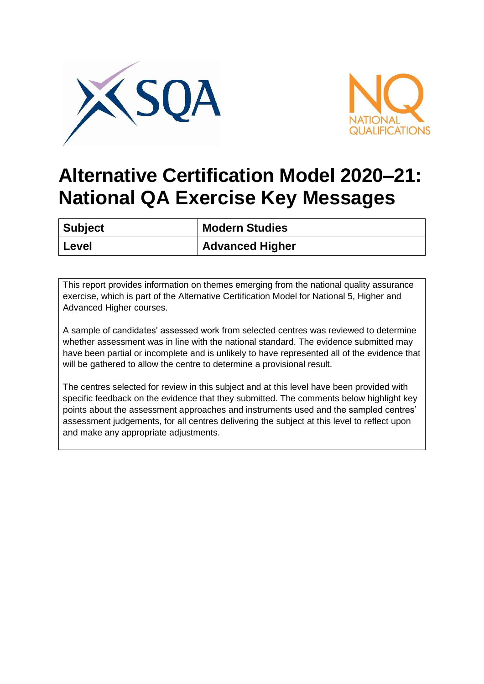



## **Alternative Certification Model 2020–21: National QA Exercise Key Messages**

| <b>Subject</b> | <b>Modern Studies</b>  |
|----------------|------------------------|
| Level          | <b>Advanced Higher</b> |

This report provides information on themes emerging from the national quality assurance exercise, which is part of the Alternative Certification Model for National 5, Higher and Advanced Higher courses.

A sample of candidates' assessed work from selected centres was reviewed to determine whether assessment was in line with the national standard. The evidence submitted may have been partial or incomplete and is unlikely to have represented all of the evidence that will be gathered to allow the centre to determine a provisional result.

The centres selected for review in this subject and at this level have been provided with specific feedback on the evidence that they submitted. The comments below highlight key points about the assessment approaches and instruments used and the sampled centres' assessment judgements, for all centres delivering the subject at this level to reflect upon and make any appropriate adjustments.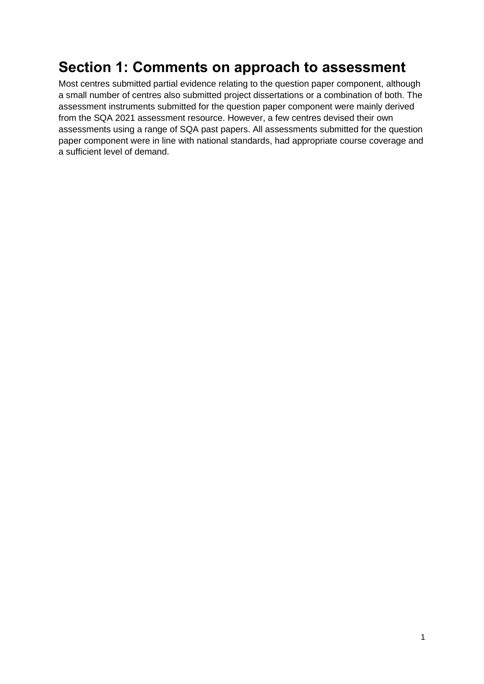## **Section 1: Comments on approach to assessment**

Most centres submitted partial evidence relating to the question paper component, although a small number of centres also submitted project dissertations or a combination of both. The assessment instruments submitted for the question paper component were mainly derived from the SQA 2021 assessment resource. However, a few centres devised their own assessments using a range of SQA past papers. All assessments submitted for the question paper component were in line with national standards, had appropriate course coverage and a sufficient level of demand.